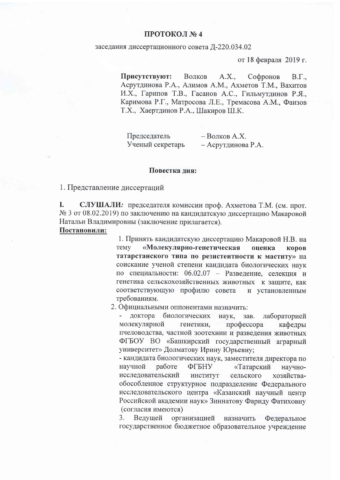## ПРОТОКОЛ №4

## заседания диссертационного совета Д-220.034.02

от 18 февраля 2019 г.

Присутствуют: Волков  $A.X$ . Софронов  $B.\Gamma.$ Асрутдинова Р.А., Алимов А.М., Ахметов Т.М., Вахитов И.Х., Гарипов Т.В., Гасанов А.С., Гильмутдинов Р.Я., Каримова Р.Г., Матросова Л.Е., Тремасова А.М., Фаизов Т.Х., Хаертдинов Р.А., Шакиров Ш.К.

Председатель - Волков А.Х. Ученый секретарь - Асрутдинова Р.А.

## Повестка дня:

1. Представление диссертаций

L СЛУШАЛИ: председателя комиссии проф. Ахметова Т.М. (см. прот. № 3 от 08.02.2019) по заключению на кандидатскую диссертацию Макаровой Натальи Владимировны (заключение прилагается).

Постановили:

1. Принять кандидатскую диссертацию Макаровой Н.В. на «Молекулярно-генетическая **TeMV** опенка **KODOB** татарстанского типа по резистентности к маститу» на соискание ученой степени кандидата биологических наук по специальности: 06.02.07 - Разведение, селекция и генетика сельскохозяйственных животных к защите, как соответствующую профилю совета и установленным требованиям.

2. Официальными оппонентами назначить:

доктора биологических наук, зав. лабораторией молекулярной профессора генетики, кафедры пчеловодства, частной зоотехнии и разведения животных ФГБОУ ВО «Башкирский государственный аграрный университет» Долматову Ирину Юрьевну;

- кандидата биологических наук, заместителя директора по научной работе **ФГБНУ** «Татарский научноисследовательский институт сельского хозяйстваобособленное структурное подразделение Федерального исследовательского центра «Казанский научный центр Российской академии наук» Зиннатову Фариду Фатиховну (согласия имеются)

3. Ведущей организацией назначить Федеральное государственное бюджетное образовательное учреждение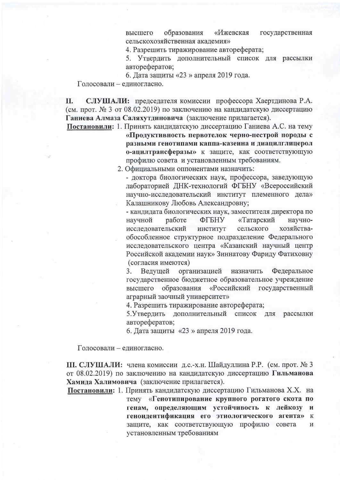образования «Ижевская государственная высшего сельскохозяйственная акалемия»

4. Разрешить тиражирование автореферата;

5. Утвердить дополнительный список для рассылки авторефератов;

6. Дата защиты «23 » апреля 2019 года.

Голосовали - единогласно.

СЛУШАЛИ: председателя комиссии профессора Хаертдинова Р.А. II. (см. прот. № 3 от 08.02.2019) по заключению на кандидатскую диссертацию Ганиева Алмаза Саляхутдиновича (заключение прилагается).

Постановили: 1. Принять кандидатскую диссертацию Ганиева А.С. на тему «Продуктивность первотелок черно-пестрой породы с разными генотипами каппа-казеина и диацилглицерол о-ацилтрансферазы» к защите, как соответствующую профилю совета и установленным требованиям.

2. Официальными оппонентами назначить:

- доктора биологических наук, профессора, заведующую лабораторией ДНК-технологий ФГБНУ «Всероссийский научно-исследовательский институт племенного дела» Калашникову Любовь Александровну;

- кандидата биологических наук, заместителя директора по «Татарский научной работе ФГБНУ научноисследовательский сельского хозяйстваинститут обособленное структурное подразделение Федерального исследовательского центра «Казанский научный центр Российской академии наук» Зиннатову Фариду Фатиховну (согласия имеются)

3. Ведущей организацией назначить Федеральное государственное бюджетное образовательное учреждение высшего образования «Российский государственный аграрный заочный университет»

4. Разрешить тиражирование автореферата;

5. Утвердить дополнительный список ДЛЯ рассылки авторефератов;

6. Дата защиты «23 » апреля 2019 года.

Голосовали - единогласно.

Ш. СЛУШАЛИ: члена комиссии д.с.-х.н. Шайдуллина Р.Р. (см. прот. № 3 от 08.02.2019) по заключению на кандидатскую диссертацию Гильманова Хамида Халимовича (заключение прилагается).

Постановили: 1. Принять кандидатскую диссертацию Гильманова Х.Х. на тему «Генотипирование крупного рогатого скота по генам, определяющим устойчивость к лейкозу и геноидентификация его этиологического агента»  ${\bf K}$ защите, как соответствующую профилю совета  $\mathbf{M}$ установленным требованиям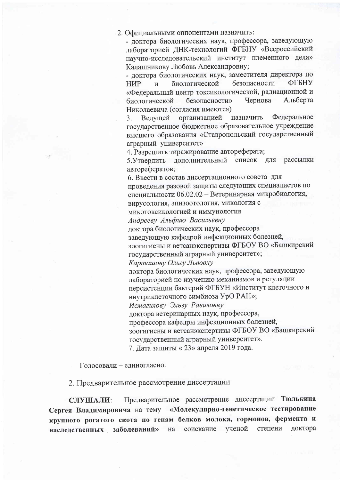2. Официальными оппонентами назначить:

- доктора биологических наук, профессора, заведующую лабораторией ДНК-технологий ФГБНУ «Всероссийский научно-исследовательский институт племенного дела» Калашникову Любовь Александровну;

- доктора биологических наук, заместителя директора по безопасности ФГБНУ **HMP** биологической  $\overline{M}$ «Федеральный центр токсикологической, радиационной и Чернова Альберта биологической безопасности» Николаевича (согласия имеются)

Федеральное организацией назначить 3. Ведущей государственное бюджетное образовательное учреждение высшего образования «Ставропольский государственный аграрный университет»

4. Разрешить тиражирование автореферата;

5. Утвердить дополнительный список рассылки ЛЛЯ авторефератов;

6. Ввести в состав диссертационного совета для проведения разовой защиты следующих специалистов по

специальности 06.02.02 - Ветеринарная микробиология,

вирусология, эпизоотология, микология с

микотоксикологией и иммунология

Андрееву Альфию Васильевну

доктора биологических наук, профессора

заведующую кафедрой инфекционных болезней,

зоогигиены и ветсанэкспертизы ФГБОУ ВО «Башкирский государственный аграрный университет»;

Карташову Ольгу Львовну

доктора биологических наук, профессора, заведующую лабораторией по изучению механизмов и регуляции персистенции бактерий ФГБУН «Институт клеточного и

внутриклеточного симбиоза УрО РАН»;

Исмагилову Эльзу Равиловну

доктора ветеринарных наук, профессора,

профессора кафедры инфекционных болезней,

зоогигиены и ветсанэкспертизы ФГБОУ ВО «Башкирский государственный аграрный университет».

7. Дата защиты «23» апреля 2019 года.

Голосовали - единогласно.

2. Предварительное рассмотрение диссертации

Предварительное рассмотрение диссертации Тюлькина СЛУШАЛИ: Сергея Владимировича на тему «Молекулярно-генетическое тестирование крупного рогатого скота по генам белков молока, гормонов, фермента и доктора заболеваний» ученой степени соискание наследственных на